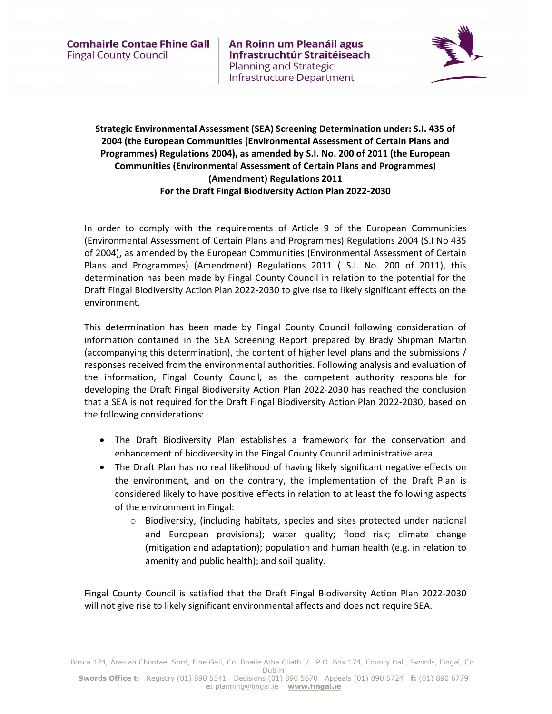An Roinn um Pleanáil agus Infrastruchtúr Straitéiseach **Planning and Strategic** Infrastructure Department



## Strategic Environmental Assessment (SEA) Screening Determination under: S.I. 435 of 2004 (the European Communities (Environmental Assessment of Certain Plans and Programmes) Regulations 2004), as amended by S.I. No. 200 of 2011 (the European Communities (Environmental Assessment of Certain Plans and Programmes) (Amendment) Regulations 2011 For the Draft Fingal Biodiversity Action Plan 2022-2030

In order to comply with the requirements of Article 9 of the European Communities (Environmental Assessment of Certain Plans and Programmes) Regulations 2004 (S.I No 435 of 2004), as amended by the European Communities (Environmental Assessment of Certain Plans and Programmes) (Amendment) Regulations 2011 ( S.I. No. 200 of 2011), this determination has been made by Fingal County Council in relation to the potential for the Draft Fingal Biodiversity Action Plan 2022-2030 to give rise to likely significant effects on the environment.

This determination has been made by Fingal County Council following consideration of information contained in the SEA Screening Report prepared by Brady Shipman Martin (accompanying this determination), the content of higher level plans and the submissions / responses received from the environmental authorities. Following analysis and evaluation of the information, Fingal County Council, as the competent authority responsible for developing the Draft Fingal Biodiversity Action Plan 2022-2030 has reached the conclusion that a SEA is not required for the Draft Fingal Biodiversity Action Plan 2022-2030, based on the following considerations:

- The Draft Biodiversity Plan establishes a framework for the conservation and enhancement of biodiversity in the Fingal County Council administrative area.
- The Draft Plan has no real likelihood of having likely significant negative effects on the environment, and on the contrary, the implementation of the Draft Plan is considered likely to have positive effects in relation to at least the following aspects of the environment in Fingal:
	- o Biodiversity, (including habitats, species and sites protected under national and European provisions); water quality; flood risk; climate change (mitigation and adaptation); population and human health (e.g. in relation to amenity and public health); and soil quality.

Fingal County Council is satisfied that the Draft Fingal Biodiversity Action Plan 2022-2030 will not give rise to likely significant environmental affects and does not require SEA.